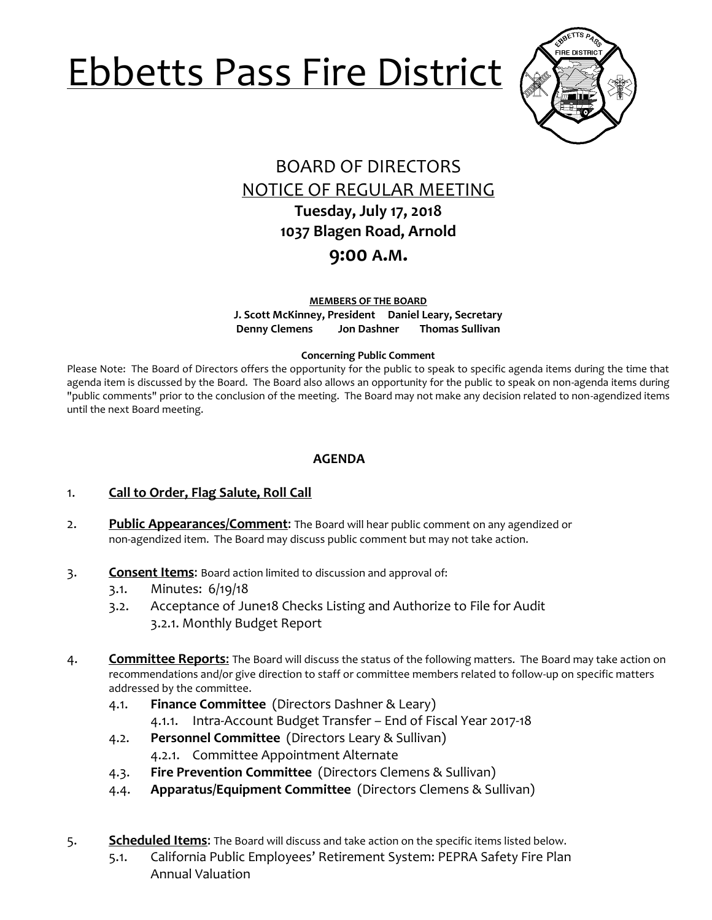# Ebbetts Pass Fire District



# BOARD OF DIRECTORS NOTICE OF REGULAR MEETING **Tuesday, July 17, 2018 1037 Blagen Road, Arnold**

## **9:00 A.M.**

**MEMBERS OF THE BOARD J. Scott McKinney, President Daniel Leary, Secretary Denny Clemens Jon Dashner Thomas Sullivan**

#### **Concerning Public Comment**

Please Note:The Board of Directors offers the opportunity for the public to speak to specific agenda items during the time that agenda item is discussed by the Board. The Board also allows an opportunity for the public to speak on non-agenda items during "public comments" prior to the conclusion of the meeting. The Board may not make any decision related to non-agendized items until the next Board meeting.

## **AGENDA**

- 1. **Call to Order, Flag Salute, Roll Call**
- 2. **Public Appearances/Comment**: The Board will hear public comment on any agendized or non-agendized item. The Board may discuss public comment but may not take action.
- 3. **Consent Items**: Board action limited to discussion and approval of:
	- 3.1. Minutes: 6/19/18
	- 3.2. Acceptance of June18 Checks Listing and Authorize to File for Audit 3.2.1. Monthly Budget Report
- 4. **Committee Reports**: The Board will discuss the status of the following matters. The Board may take action on recommendations and/or give direction to staff or committee members related to follow-up on specific matters addressed by the committee.
	- 4.1. **Finance Committee** (Directors Dashner & Leary)
		- 4.1.1. Intra-Account Budget Transfer End of Fiscal Year 2017-18
	- 4.2. **Personnel Committee** (Directors Leary & Sullivan) 4.2.1. Committee Appointment Alternate
	- 4.3. **Fire Prevention Committee** (Directors Clemens & Sullivan)
	- 4.4. **Apparatus/Equipment Committee** (Directors Clemens & Sullivan)
- 5. **Scheduled Items**: The Board will discuss and take action on the specific items listed below.
	- 5.1. California Public Employees' Retirement System: PEPRA Safety Fire Plan Annual Valuation